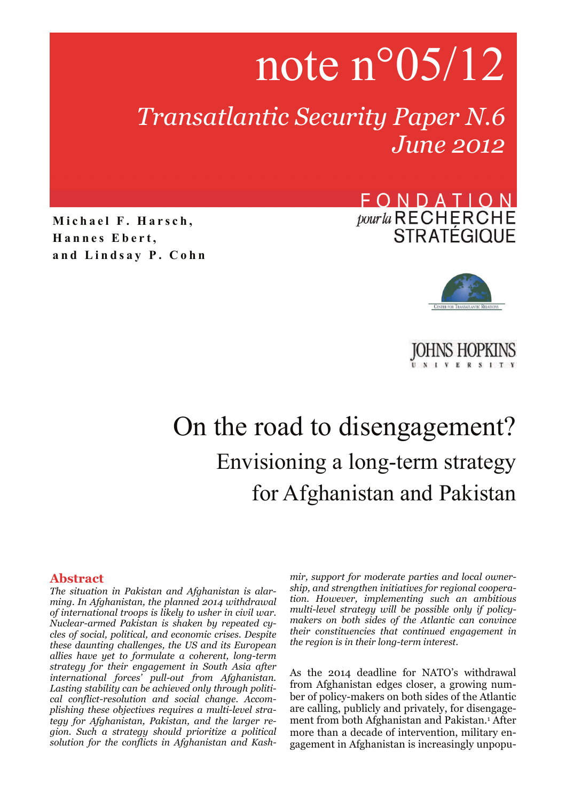# note n°05/12

*Transatlantic Security Paper N.6 June 2012* 

**Michael F. Harsch, Hannes Ebert, and Lindsay P. Cohn**

### FONDATION pour la RECHERCHE **STRATÉGIQUE**





## On the road to disengagement? Envisioning a long-term strategy for Afghanistan and Pakistan

#### **Abstract**

*The situation in Pakistan and Afghanistan is alarming. In Afghanistan, the planned 2014 withdrawal of international troops is likely to usher in civil war. Nuclear-armed Pakistan is shaken by repeated cycles of social, political, and economic crises. Despite these daunting challenges, the US and its European allies have yet to formulate a coherent, long-term strategy for their engagement in South Asia after international forces' pull-out from Afghanistan. Lasting stability can be achieved only through political conflict-resolution and social change. Accomplishing these objectives requires a multi-level strategy for Afghanistan, Pakistan, and the larger region. Such a strategy should prioritize a political solution for the conflicts in Afghanistan and Kash-* *mir, support for moderate parties and local ownership, and strengthen initiatives for regional cooperation. However, implementing such an ambitious multi-level strategy will be possible only if policymakers on both sides of the Atlantic can convince their constituencies that continued engagement in the region is in their long-term interest.* 

As the 2014 deadline for NATO's withdrawal from Afghanistan edges closer, a growing number of policy-makers on both sides of the Atlantic are calling, publicly and privately, for disengagement from both Afghanistan and Pakistan.1 After more than a decade of intervention, military engagement in Afghanistan is increasingly unpopu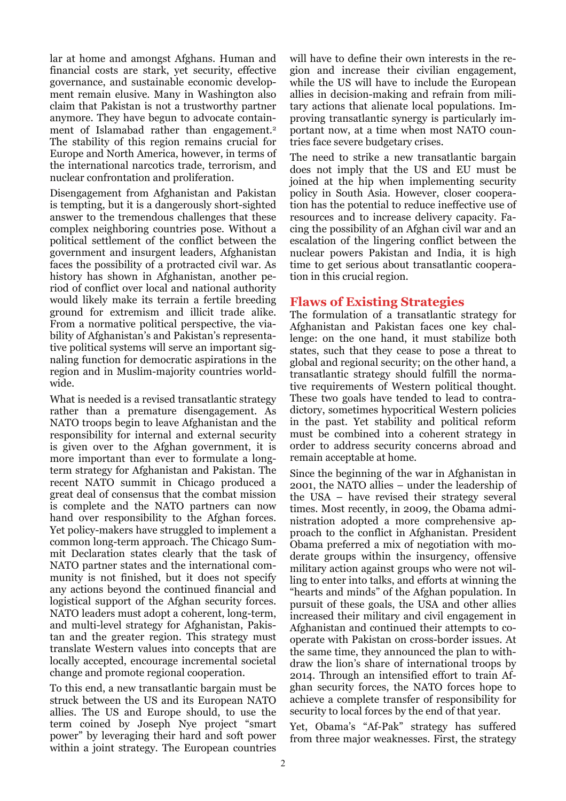lar at home and amongst Afghans. Human and financial costs are stark, yet security, effective governance, and sustainable economic development remain elusive. Many in Washington also claim that Pakistan is not a trustworthy partner anymore. They have begun to advocate containment of Islamabad rather than engagement.<sup>2</sup> The stability of this region remains crucial for Europe and North America, however, in terms of the international narcotics trade, terrorism, and nuclear confrontation and proliferation.

Disengagement from Afghanistan and Pakistan is tempting, but it is a dangerously short-sighted answer to the tremendous challenges that these complex neighboring countries pose. Without a political settlement of the conflict between the government and insurgent leaders, Afghanistan faces the possibility of a protracted civil war. As history has shown in Afghanistan, another period of conflict over local and national authority would likely make its terrain a fertile breeding ground for extremism and illicit trade alike. From a normative political perspective, the viability of Afghanistan's and Pakistan's representative political systems will serve an important signaling function for democratic aspirations in the region and in Muslim-majority countries worldwide.

What is needed is a revised transatlantic strategy rather than a premature disengagement. As NATO troops begin to leave Afghanistan and the responsibility for internal and external security is given over to the Afghan government, it is more important than ever to formulate a longterm strategy for Afghanistan and Pakistan. The recent NATO summit in Chicago produced a great deal of consensus that the combat mission is complete and the NATO partners can now hand over responsibility to the Afghan forces. Yet policy-makers have struggled to implement a common long-term approach. The Chicago Summit Declaration states clearly that the task of NATO partner states and the international community is not finished, but it does not specify any actions beyond the continued financial and logistical support of the Afghan security forces. NATO leaders must adopt a coherent, long-term, and multi-level strategy for Afghanistan, Pakistan and the greater region. This strategy must translate Western values into concepts that are locally accepted, encourage incremental societal change and promote regional cooperation.

To this end, a new transatlantic bargain must be struck between the US and its European NATO allies. The US and Europe should, to use the term coined by Joseph Nye project "smart power" by leveraging their hard and soft power within a joint strategy. The European countries will have to define their own interests in the region and increase their civilian engagement, while the US will have to include the European allies in decision-making and refrain from military actions that alienate local populations. Improving transatlantic synergy is particularly important now, at a time when most NATO countries face severe budgetary crises.

The need to strike a new transatlantic bargain does not imply that the US and EU must be joined at the hip when implementing security policy in South Asia. However, closer cooperation has the potential to reduce ineffective use of resources and to increase delivery capacity. Facing the possibility of an Afghan civil war and an escalation of the lingering conflict between the nuclear powers Pakistan and India, it is high time to get serious about transatlantic cooperation in this crucial region.

#### **Flaws of Existing Strategies**

The formulation of a transatlantic strategy for Afghanistan and Pakistan faces one key challenge: on the one hand, it must stabilize both states, such that they cease to pose a threat to global and regional security; on the other hand, a transatlantic strategy should fulfill the normative requirements of Western political thought. These two goals have tended to lead to contradictory, sometimes hypocritical Western policies in the past. Yet stability and political reform must be combined into a coherent strategy in order to address security concerns abroad and remain acceptable at home.

Since the beginning of the war in Afghanistan in 2001, the NATO allies – under the leadership of the USA – have revised their strategy several times. Most recently, in 2009, the Obama administration adopted a more comprehensive approach to the conflict in Afghanistan. President Obama preferred a mix of negotiation with moderate groups within the insurgency, offensive military action against groups who were not willing to enter into talks, and efforts at winning the "hearts and minds" of the Afghan population. In pursuit of these goals, the USA and other allies increased their military and civil engagement in Afghanistan and continued their attempts to cooperate with Pakistan on cross-border issues. At the same time, they announced the plan to withdraw the lion's share of international troops by 2014. Through an intensified effort to train Afghan security forces, the NATO forces hope to achieve a complete transfer of responsibility for security to local forces by the end of that year.

Yet, Obama's "Af-Pak" strategy has suffered from three major weaknesses. First, the strategy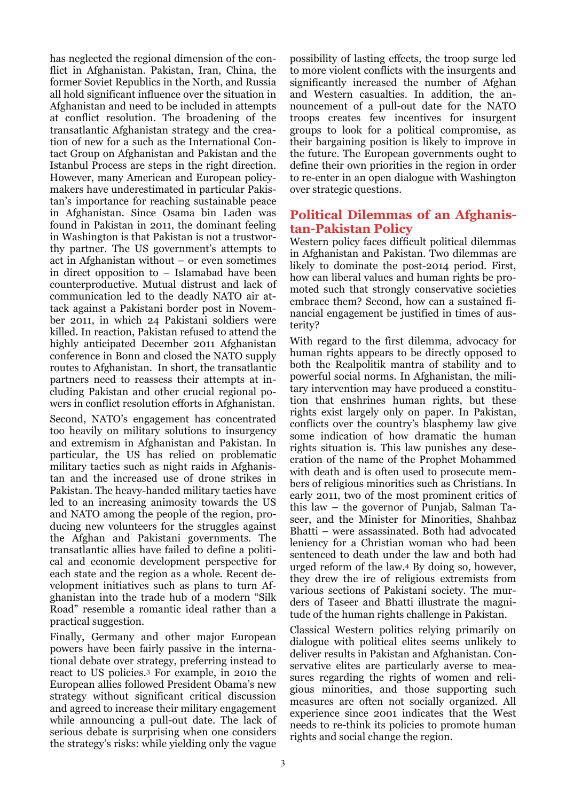has neglected the regional dimension of the conflict in Afghanistan. Pakistan, Iran, China, the former Soviet Republics in the North, and Russia all hold significant influence over the situation in Afghanistan and need to be included in attempts at conflict resolution. The broadening of the transatlantic Afghanistan strategy and the creation of new for a such as the International Contact Group on Afghanistan and Pakistan and the Istanbul Process are steps in the right direction. However, many American and European policymakers have underestimated in particular Pakistan's importance for reaching sustainable peace in Afghanistan. Since Osama bin Laden was found in Pakistan in 2011, the dominant feeling in Washington is that Pakistan is not a trustworthy partner. The US government's attempts to act in Afghanistan without – or even sometimes in direct opposition to – Islamabad have been counterproductive. Mutual distrust and lack of communication led to the deadly NATO air attack against a Pakistani border post in November 2011, in which 24 Pakistani soldiers were killed. In reaction, Pakistan refused to attend the highly anticipated December 2011 Afghanistan conference in Bonn and closed the NATO supply routes to Afghanistan. In short, the transatlantic partners need to reassess their attempts at including Pakistan and other crucial regional powers in conflict resolution efforts in Afghanistan.

Second, NATO's engagement has concentrated too heavily on military solutions to insurgency and extremism in Afghanistan and Pakistan. In particular, the US has relied on problematic military tactics such as night raids in Afghanistan and the increased use of drone strikes in Pakistan. The heavy-handed military tactics have led to an increasing animosity towards the US and NATO among the people of the region, producing new volunteers for the struggles against the Afghan and Pakistani governments. The transatlantic allies have failed to define a political and economic development perspective for each state and the region as a whole. Recent development initiatives such as plans to turn Afghanistan into the trade hub of a modern "Silk Road" resemble a romantic ideal rather than a practical suggestion.

Finally, Germany and other major European powers have been fairly passive in the international debate over strategy, preferring instead to react to US policies.3 For example, in 2010 the European allies followed President Obama's new strategy without significant critical discussion and agreed to increase their military engagement while announcing a pull-out date. The lack of serious debate is surprising when one considers the strategy's risks: while yielding only the vague

possibility of lasting effects, the troop surge led to more violent conflicts with the insurgents and significantly increased the number of Afghan and Western casualties. In addition, the announcement of a pull-out date for the NATO troops creates few incentives for insurgent groups to look for a political compromise, as their bargaining position is likely to improve in the future. The European governments ought to define their own priorities in the region in order to re-enter in an open dialogue with Washington over strategic questions.

#### **Political Dilemmas of an Afghanistan-Pakistan Policy**

Western policy faces difficult political dilemmas in Afghanistan and Pakistan. Two dilemmas are likely to dominate the post-2014 period. First, how can liberal values and human rights be promoted such that strongly conservative societies embrace them? Second, how can a sustained financial engagement be justified in times of austerity?

With regard to the first dilemma, advocacy for human rights appears to be directly opposed to both the Realpolitik mantra of stability and to powerful social norms. In Afghanistan, the military intervention may have produced a constitution that enshrines human rights, but these rights exist largely only on paper. In Pakistan, conflicts over the country's blasphemy law give some indication of how dramatic the human rights situation is. This law punishes any desecration of the name of the Prophet Mohammed with death and is often used to prosecute members of religious minorities such as Christians. In early 2011, two of the most prominent critics of this law – the governor of Punjab, Salman Taseer, and the Minister for Minorities, Shahbaz Bhatti – were assassinated. Both had advocated leniency for a Christian woman who had been sentenced to death under the law and both had urged reform of the law.4 By doing so, however, they drew the ire of religious extremists from various sections of Pakistani society. The murders of Taseer and Bhatti illustrate the magnitude of the human rights challenge in Pakistan.

Classical Western politics relying primarily on dialogue with political elites seems unlikely to deliver results in Pakistan and Afghanistan. Conservative elites are particularly averse to measures regarding the rights of women and religious minorities, and those supporting such measures are often not socially organized. All experience since 2001 indicates that the West needs to re-think its policies to promote human rights and social change the region.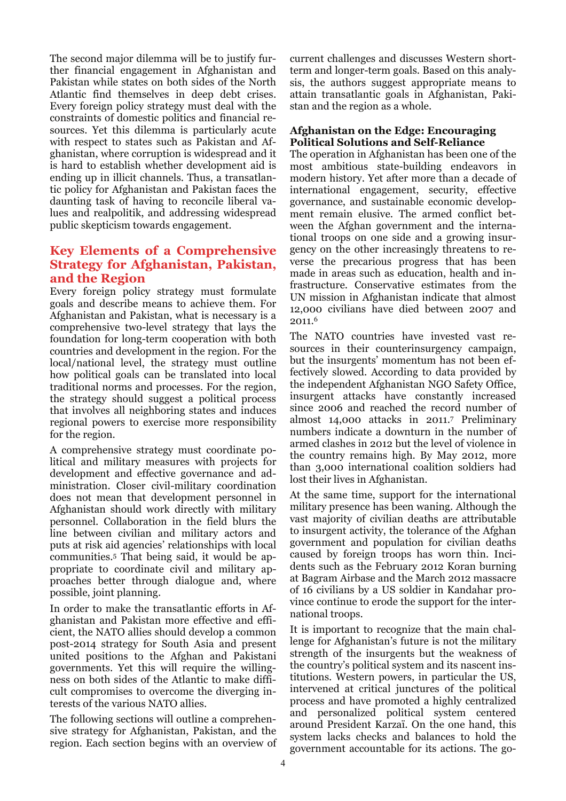The second major dilemma will be to justify further financial engagement in Afghanistan and Pakistan while states on both sides of the North Atlantic find themselves in deep debt crises. Every foreign policy strategy must deal with the constraints of domestic politics and financial resources. Yet this dilemma is particularly acute with respect to states such as Pakistan and Afghanistan, where corruption is widespread and it is hard to establish whether development aid is ending up in illicit channels. Thus, a transatlantic policy for Afghanistan and Pakistan faces the daunting task of having to reconcile liberal values and realpolitik, and addressing widespread public skepticism towards engagement.

#### **Key Elements of a Comprehensive Strategy for Afghanistan, Pakistan, and the Region**

Every foreign policy strategy must formulate goals and describe means to achieve them. For Afghanistan and Pakistan, what is necessary is a comprehensive two-level strategy that lays the foundation for long-term cooperation with both countries and development in the region. For the local/national level, the strategy must outline how political goals can be translated into local traditional norms and processes. For the region, the strategy should suggest a political process that involves all neighboring states and induces regional powers to exercise more responsibility for the region.

A comprehensive strategy must coordinate political and military measures with projects for development and effective governance and administration. Closer civil-military coordination does not mean that development personnel in Afghanistan should work directly with military personnel. Collaboration in the field blurs the line between civilian and military actors and puts at risk aid agencies' relationships with local communities.5 That being said, it would be appropriate to coordinate civil and military approaches better through dialogue and, where possible, joint planning.

In order to make the transatlantic efforts in Afghanistan and Pakistan more effective and efficient, the NATO allies should develop a common post-2014 strategy for South Asia and present united positions to the Afghan and Pakistani governments. Yet this will require the willingness on both sides of the Atlantic to make difficult compromises to overcome the diverging interests of the various NATO allies.

The following sections will outline a comprehensive strategy for Afghanistan, Pakistan, and the region. Each section begins with an overview of

current challenges and discusses Western shortterm and longer-term goals. Based on this analysis, the authors suggest appropriate means to attain transatlantic goals in Afghanistan, Pakistan and the region as a whole.

#### **Afghanistan on the Edge: Encouraging Political Solutions and Self-Reliance**

The operation in Afghanistan has been one of the most ambitious state-building endeavors in modern history. Yet after more than a decade of international engagement, security, effective governance, and sustainable economic development remain elusive. The armed conflict between the Afghan government and the international troops on one side and a growing insurgency on the other increasingly threatens to reverse the precarious progress that has been made in areas such as education, health and infrastructure. Conservative estimates from the UN mission in Afghanistan indicate that almost 12,000 civilians have died between 2007 and 2011.6

The NATO countries have invested vast resources in their counterinsurgency campaign, but the insurgents' momentum has not been effectively slowed. According to data provided by the independent Afghanistan NGO Safety Office, insurgent attacks have constantly increased since 2006 and reached the record number of almost 14,000 attacks in 2011.7 Preliminary numbers indicate a downturn in the number of armed clashes in 2012 but the level of violence in the country remains high. By May 2012, more than 3,000 international coalition soldiers had lost their lives in Afghanistan.

At the same time, support for the international military presence has been waning. Although the vast majority of civilian deaths are attributable to insurgent activity, the tolerance of the Afghan government and population for civilian deaths caused by foreign troops has worn thin. Incidents such as the February 2012 Koran burning at Bagram Airbase and the March 2012 massacre of 16 civilians by a US soldier in Kandahar province continue to erode the support for the international troops.

It is important to recognize that the main challenge for Afghanistan's future is not the military strength of the insurgents but the weakness of the country's political system and its nascent institutions. Western powers, in particular the US, intervened at critical junctures of the political process and have promoted a highly centralized and personalized political system centered around President Karzaï. On the one hand, this system lacks checks and balances to hold the government accountable for its actions. The go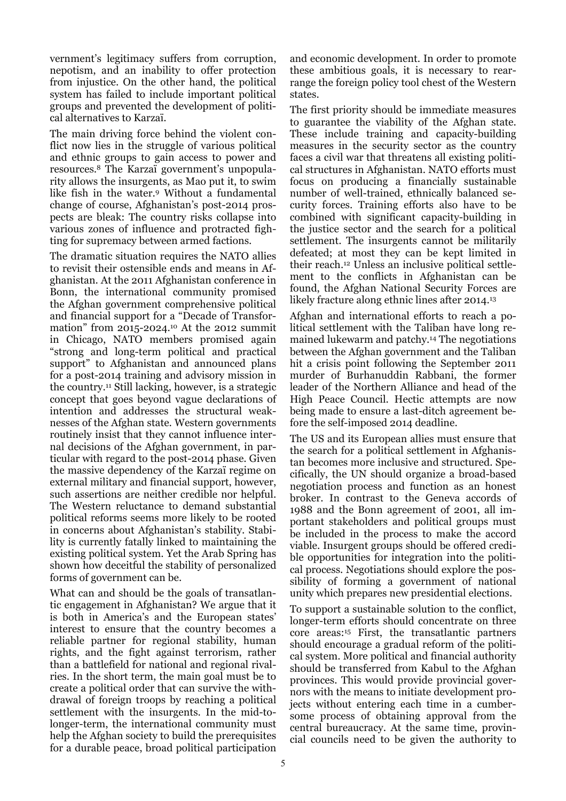vernment's legitimacy suffers from corruption, nepotism, and an inability to offer protection from injustice. On the other hand, the political system has failed to include important political groups and prevented the development of political alternatives to Karzaï.

The main driving force behind the violent conflict now lies in the struggle of various political and ethnic groups to gain access to power and resources.8 The Karzaï government's unpopularity allows the insurgents, as Mao put it, to swim like fish in the water.9 Without a fundamental change of course, Afghanistan's post-2014 prospects are bleak: The country risks collapse into various zones of influence and protracted fighting for supremacy between armed factions.

The dramatic situation requires the NATO allies to revisit their ostensible ends and means in Afghanistan. At the 2011 Afghanistan conference in Bonn, the international community promised the Afghan government comprehensive political and financial support for a "Decade of Transformation" from 2015-2024.10 At the 2012 summit in Chicago, NATO members promised again "strong and long-term political and practical support" to Afghanistan and announced plans for a post-2014 training and advisory mission in the country.11 Still lacking, however, is a strategic concept that goes beyond vague declarations of intention and addresses the structural weaknesses of the Afghan state. Western governments routinely insist that they cannot influence internal decisions of the Afghan government, in particular with regard to the post-2014 phase. Given the massive dependency of the Karzaï regime on external military and financial support, however, such assertions are neither credible nor helpful. The Western reluctance to demand substantial political reforms seems more likely to be rooted in concerns about Afghanistan's stability. Stability is currently fatally linked to maintaining the existing political system. Yet the Arab Spring has shown how deceitful the stability of personalized forms of government can be.

What can and should be the goals of transatlantic engagement in Afghanistan? We argue that it is both in America's and the European states' interest to ensure that the country becomes a reliable partner for regional stability, human rights, and the fight against terrorism, rather than a battlefield for national and regional rivalries. In the short term, the main goal must be to create a political order that can survive the withdrawal of foreign troops by reaching a political settlement with the insurgents. In the mid-tolonger-term, the international community must help the Afghan society to build the prerequisites for a durable peace, broad political participation

and economic development. In order to promote these ambitious goals, it is necessary to rearrange the foreign policy tool chest of the Western states.

The first priority should be immediate measures to guarantee the viability of the Afghan state. These include training and capacity-building measures in the security sector as the country faces a civil war that threatens all existing political structures in Afghanistan. NATO efforts must focus on producing a financially sustainable number of well-trained, ethnically balanced security forces. Training efforts also have to be combined with significant capacity-building in the justice sector and the search for a political settlement. The insurgents cannot be militarily defeated; at most they can be kept limited in their reach.12 Unless an inclusive political settlement to the conflicts in Afghanistan can be found, the Afghan National Security Forces are likely fracture along ethnic lines after 2014.13

Afghan and international efforts to reach a political settlement with the Taliban have long remained lukewarm and patchy.14 The negotiations between the Afghan government and the Taliban hit a crisis point following the September 2011 murder of Burhanuddin Rabbani, the former leader of the Northern Alliance and head of the High Peace Council. Hectic attempts are now being made to ensure a last-ditch agreement before the self-imposed 2014 deadline.

The US and its European allies must ensure that the search for a political settlement in Afghanistan becomes more inclusive and structured. Specifically, the UN should organize a broad-based negotiation process and function as an honest broker. In contrast to the Geneva accords of 1988 and the Bonn agreement of 2001, all important stakeholders and political groups must be included in the process to make the accord viable. Insurgent groups should be offered credible opportunities for integration into the political process. Negotiations should explore the possibility of forming a government of national unity which prepares new presidential elections.

To support a sustainable solution to the conflict, longer-term efforts should concentrate on three core areas:15 First, the transatlantic partners should encourage a gradual reform of the political system. More political and financial authority should be transferred from Kabul to the Afghan provinces. This would provide provincial governors with the means to initiate development projects without entering each time in a cumbersome process of obtaining approval from the central bureaucracy. At the same time, provincial councils need to be given the authority to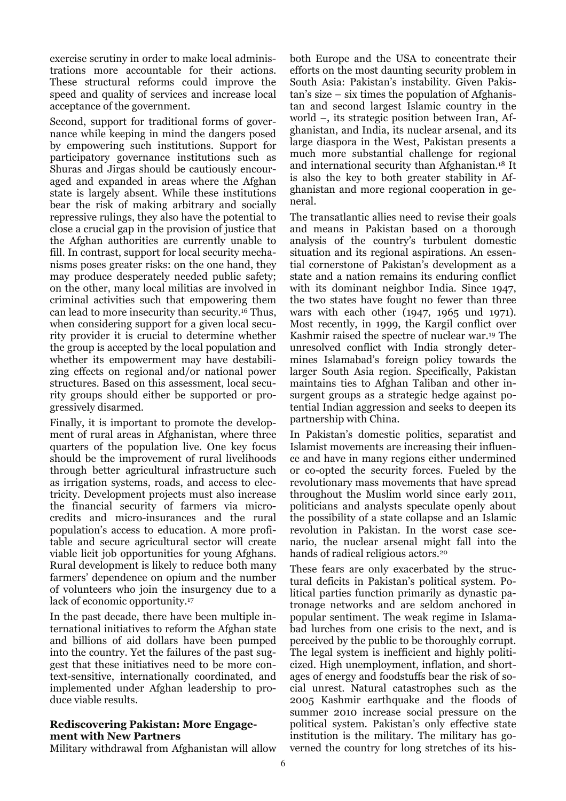exercise scrutiny in order to make local administrations more accountable for their actions. These structural reforms could improve the speed and quality of services and increase local acceptance of the government.

Second, support for traditional forms of governance while keeping in mind the dangers posed by empowering such institutions. Support for participatory governance institutions such as Shuras and Jirgas should be cautiously encouraged and expanded in areas where the Afghan state is largely absent. While these institutions bear the risk of making arbitrary and socially repressive rulings, they also have the potential to close a crucial gap in the provision of justice that the Afghan authorities are currently unable to fill. In contrast, support for local security mechanisms poses greater risks: on the one hand, they may produce desperately needed public safety; on the other, many local militias are involved in criminal activities such that empowering them can lead to more insecurity than security.16 Thus, when considering support for a given local security provider it is crucial to determine whether the group is accepted by the local population and whether its empowerment may have destabilizing effects on regional and/or national power structures. Based on this assessment, local security groups should either be supported or progressively disarmed.

Finally, it is important to promote the development of rural areas in Afghanistan, where three quarters of the population live. One key focus should be the improvement of rural livelihoods through better agricultural infrastructure such as irrigation systems, roads, and access to electricity. Development projects must also increase the financial security of farmers via microcredits and micro-insurances and the rural population's access to education. A more profitable and secure agricultural sector will create viable licit job opportunities for young Afghans. Rural development is likely to reduce both many farmers' dependence on opium and the number of volunteers who join the insurgency due to a lack of economic opportunity.17

In the past decade, there have been multiple international initiatives to reform the Afghan state and billions of aid dollars have been pumped into the country. Yet the failures of the past suggest that these initiatives need to be more context-sensitive, internationally coordinated, and implemented under Afghan leadership to produce viable results.

#### **Rediscovering Pakistan: More Engagement with New Partners**

Military withdrawal from Afghanistan will allow

both Europe and the USA to concentrate their efforts on the most daunting security problem in South Asia: Pakistan's instability. Given Pakistan's size – six times the population of Afghanistan and second largest Islamic country in the world –, its strategic position between Iran, Afghanistan, and India, its nuclear arsenal, and its large diaspora in the West, Pakistan presents a much more substantial challenge for regional and international security than Afghanistan.18 It is also the key to both greater stability in Afghanistan and more regional cooperation in general.

The transatlantic allies need to revise their goals and means in Pakistan based on a thorough analysis of the country's turbulent domestic situation and its regional aspirations. An essential cornerstone of Pakistan's development as a state and a nation remains its enduring conflict with its dominant neighbor India. Since 1947, the two states have fought no fewer than three wars with each other (1947, 1965 und 1971). Most recently, in 1999, the Kargil conflict over Kashmir raised the spectre of nuclear war.19 The unresolved conflict with India strongly determines Islamabad's foreign policy towards the larger South Asia region. Specifically, Pakistan maintains ties to Afghan Taliban and other insurgent groups as a strategic hedge against potential Indian aggression and seeks to deepen its partnership with China.

In Pakistan's domestic politics, separatist and Islamist movements are increasing their influence and have in many regions either undermined or co-opted the security forces. Fueled by the revolutionary mass movements that have spread throughout the Muslim world since early 2011, politicians and analysts speculate openly about the possibility of a state collapse and an Islamic revolution in Pakistan. In the worst case scenario, the nuclear arsenal might fall into the hands of radical religious actors.20

These fears are only exacerbated by the structural deficits in Pakistan's political system. Political parties function primarily as dynastic patronage networks and are seldom anchored in popular sentiment. The weak regime in Islamabad lurches from one crisis to the next, and is perceived by the public to be thoroughly corrupt. The legal system is inefficient and highly politicized. High unemployment, inflation, and shortages of energy and foodstuffs bear the risk of social unrest. Natural catastrophes such as the 2005 Kashmir earthquake and the floods of summer 2010 increase social pressure on the political system. Pakistan's only effective state institution is the military. The military has governed the country for long stretches of its his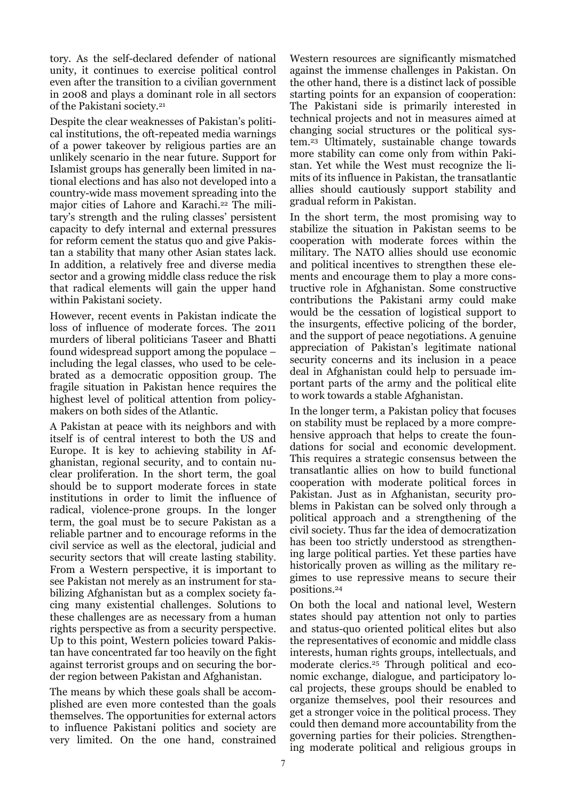tory. As the self-declared defender of national unity, it continues to exercise political control even after the transition to a civilian government in 2008 and plays a dominant role in all sectors of the Pakistani society.21

Despite the clear weaknesses of Pakistan's political institutions, the oft-repeated media warnings of a power takeover by religious parties are an unlikely scenario in the near future. Support for Islamist groups has generally been limited in national elections and has also not developed into a country-wide mass movement spreading into the major cities of Lahore and Karachi.22 The military's strength and the ruling classes' persistent capacity to defy internal and external pressures for reform cement the status quo and give Pakistan a stability that many other Asian states lack. In addition, a relatively free and diverse media sector and a growing middle class reduce the risk that radical elements will gain the upper hand within Pakistani society.

However, recent events in Pakistan indicate the loss of influence of moderate forces. The 2011 murders of liberal politicians Taseer and Bhatti found widespread support among the populace – including the legal classes, who used to be celebrated as a democratic opposition group. The fragile situation in Pakistan hence requires the highest level of political attention from policymakers on both sides of the Atlantic.

A Pakistan at peace with its neighbors and with itself is of central interest to both the US and Europe. It is key to achieving stability in Afghanistan, regional security, and to contain nuclear proliferation. In the short term, the goal should be to support moderate forces in state institutions in order to limit the influence of radical, violence-prone groups. In the longer term, the goal must be to secure Pakistan as a reliable partner and to encourage reforms in the civil service as well as the electoral, judicial and security sectors that will create lasting stability. From a Western perspective, it is important to see Pakistan not merely as an instrument for stabilizing Afghanistan but as a complex society facing many existential challenges. Solutions to these challenges are as necessary from a human rights perspective as from a security perspective. Up to this point, Western policies toward Pakistan have concentrated far too heavily on the fight against terrorist groups and on securing the border region between Pakistan and Afghanistan.

The means by which these goals shall be accomplished are even more contested than the goals themselves. The opportunities for external actors to influence Pakistani politics and society are very limited. On the one hand, constrained

Western resources are significantly mismatched against the immense challenges in Pakistan. On the other hand, there is a distinct lack of possible starting points for an expansion of cooperation: The Pakistani side is primarily interested in technical projects and not in measures aimed at changing social structures or the political system.23 Ultimately, sustainable change towards more stability can come only from within Pakistan. Yet while the West must recognize the limits of its influence in Pakistan, the transatlantic allies should cautiously support stability and gradual reform in Pakistan.

In the short term, the most promising way to stabilize the situation in Pakistan seems to be cooperation with moderate forces within the military. The NATO allies should use economic and political incentives to strengthen these elements and encourage them to play a more constructive role in Afghanistan. Some constructive contributions the Pakistani army could make would be the cessation of logistical support to the insurgents, effective policing of the border, and the support of peace negotiations. A genuine appreciation of Pakistan's legitimate national security concerns and its inclusion in a peace deal in Afghanistan could help to persuade important parts of the army and the political elite to work towards a stable Afghanistan.

In the longer term, a Pakistan policy that focuses on stability must be replaced by a more comprehensive approach that helps to create the foundations for social and economic development. This requires a strategic consensus between the transatlantic allies on how to build functional cooperation with moderate political forces in Pakistan. Just as in Afghanistan, security problems in Pakistan can be solved only through a political approach and a strengthening of the civil society. Thus far the idea of democratization has been too strictly understood as strengthening large political parties. Yet these parties have historically proven as willing as the military regimes to use repressive means to secure their positions.24

On both the local and national level, Western states should pay attention not only to parties and status-quo oriented political elites but also the representatives of economic and middle class interests, human rights groups, intellectuals, and moderate clerics.25 Through political and economic exchange, dialogue, and participatory local projects, these groups should be enabled to organize themselves, pool their resources and get a stronger voice in the political process. They could then demand more accountability from the governing parties for their policies. Strengthening moderate political and religious groups in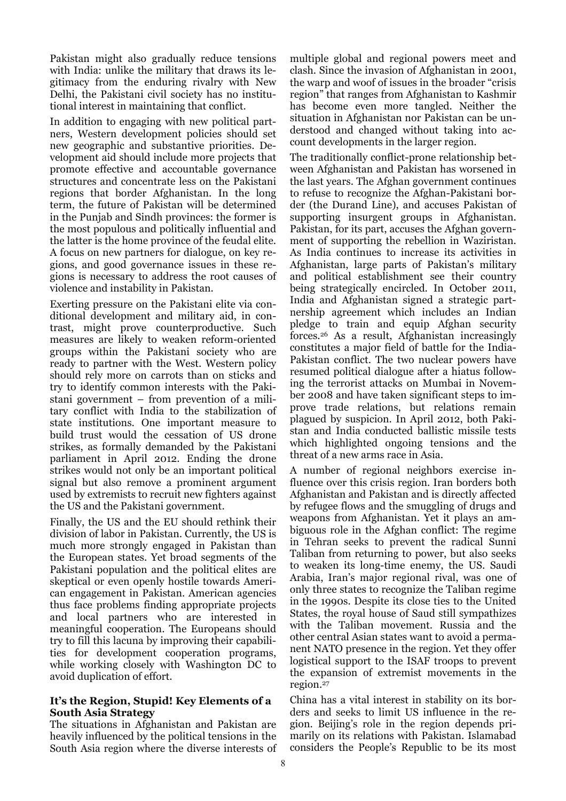Pakistan might also gradually reduce tensions with India: unlike the military that draws its legitimacy from the enduring rivalry with New Delhi, the Pakistani civil society has no institutional interest in maintaining that conflict.

In addition to engaging with new political partners, Western development policies should set new geographic and substantive priorities. Development aid should include more projects that promote effective and accountable governance structures and concentrate less on the Pakistani regions that border Afghanistan. In the long term, the future of Pakistan will be determined in the Punjab and Sindh provinces: the former is the most populous and politically influential and the latter is the home province of the feudal elite. A focus on new partners for dialogue, on key regions, and good governance issues in these regions is necessary to address the root causes of violence and instability in Pakistan.

Exerting pressure on the Pakistani elite via conditional development and military aid, in contrast, might prove counterproductive. Such measures are likely to weaken reform-oriented groups within the Pakistani society who are ready to partner with the West. Western policy should rely more on carrots than on sticks and try to identify common interests with the Pakistani government – from prevention of a military conflict with India to the stabilization of state institutions. One important measure to build trust would the cessation of US drone strikes, as formally demanded by the Pakistani parliament in April 2012. Ending the drone strikes would not only be an important political signal but also remove a prominent argument used by extremists to recruit new fighters against the US and the Pakistani government.

Finally, the US and the EU should rethink their division of labor in Pakistan. Currently, the US is much more strongly engaged in Pakistan than the European states. Yet broad segments of the Pakistani population and the political elites are skeptical or even openly hostile towards American engagement in Pakistan. American agencies thus face problems finding appropriate projects and local partners who are interested in meaningful cooperation. The Europeans should try to fill this lacuna by improving their capabilities for development cooperation programs, while working closely with Washington DC to avoid duplication of effort.

#### **It's the Region, Stupid! Key Elements of a South Asia Strategy**

The situations in Afghanistan and Pakistan are heavily influenced by the political tensions in the South Asia region where the diverse interests of

multiple global and regional powers meet and clash. Since the invasion of Afghanistan in 2001, the warp and woof of issues in the broader "crisis region" that ranges from Afghanistan to Kashmir has become even more tangled. Neither the situation in Afghanistan nor Pakistan can be understood and changed without taking into account developments in the larger region.

The traditionally conflict-prone relationship between Afghanistan and Pakistan has worsened in the last years. The Afghan government continues to refuse to recognize the Afghan-Pakistani border (the Durand Line), and accuses Pakistan of supporting insurgent groups in Afghanistan. Pakistan, for its part, accuses the Afghan government of supporting the rebellion in Waziristan. As India continues to increase its activities in Afghanistan, large parts of Pakistan's military and political establishment see their country being strategically encircled. In October 2011, India and Afghanistan signed a strategic partnership agreement which includes an Indian pledge to train and equip Afghan security forces.26 As a result, Afghanistan increasingly constitutes a major field of battle for the India-Pakistan conflict. The two nuclear powers have resumed political dialogue after a hiatus following the terrorist attacks on Mumbai in November 2008 and have taken significant steps to improve trade relations, but relations remain plagued by suspicion. In April 2012, both Pakistan and India conducted ballistic missile tests which highlighted ongoing tensions and the threat of a new arms race in Asia.

A number of regional neighbors exercise influence over this crisis region. Iran borders both Afghanistan and Pakistan and is directly affected by refugee flows and the smuggling of drugs and weapons from Afghanistan. Yet it plays an ambiguous role in the Afghan conflict: The regime in Tehran seeks to prevent the radical Sunni Taliban from returning to power, but also seeks to weaken its long-time enemy, the US. Saudi Arabia, Iran's major regional rival, was one of only three states to recognize the Taliban regime in the 1990s. Despite its close ties to the United States, the royal house of Saud still sympathizes with the Taliban movement. Russia and the other central Asian states want to avoid a permanent NATO presence in the region. Yet they offer logistical support to the ISAF troops to prevent the expansion of extremist movements in the region.27

China has a vital interest in stability on its borders and seeks to limit US influence in the region. Beijing's role in the region depends primarily on its relations with Pakistan. Islamabad considers the People's Republic to be its most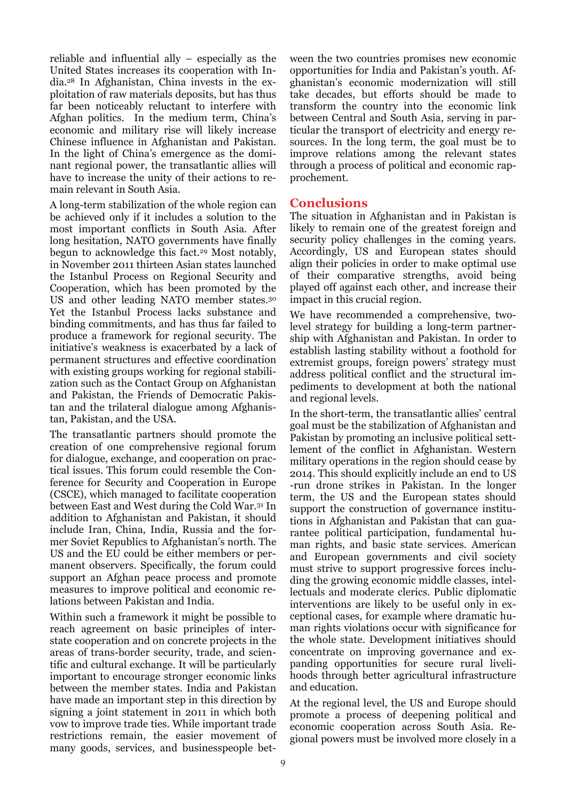reliable and influential ally – especially as the United States increases its cooperation with India.28 In Afghanistan, China invests in the exploitation of raw materials deposits, but has thus far been noticeably reluctant to interfere with Afghan politics. In the medium term, China's economic and military rise will likely increase Chinese influence in Afghanistan and Pakistan. In the light of China's emergence as the dominant regional power, the transatlantic allies will have to increase the unity of their actions to remain relevant in South Asia.

A long-term stabilization of the whole region can be achieved only if it includes a solution to the most important conflicts in South Asia. After long hesitation, NATO governments have finally begun to acknowledge this fact.29 Most notably, in November 2011 thirteen Asian states launched the Istanbul Process on Regional Security and Cooperation, which has been promoted by the US and other leading NATO member states.30 Yet the Istanbul Process lacks substance and binding commitments, and has thus far failed to produce a framework for regional security. The initiative's weakness is exacerbated by a lack of permanent structures and effective coordination with existing groups working for regional stabilization such as the Contact Group on Afghanistan and Pakistan, the Friends of Democratic Pakistan and the trilateral dialogue among Afghanistan, Pakistan, and the USA.

The transatlantic partners should promote the creation of one comprehensive regional forum for dialogue, exchange, and cooperation on practical issues. This forum could resemble the Conference for Security and Cooperation in Europe (CSCE), which managed to facilitate cooperation between East and West during the Cold War.31 In addition to Afghanistan and Pakistan, it should include Iran, China, India, Russia and the former Soviet Republics to Afghanistan's north. The US and the EU could be either members or permanent observers. Specifically, the forum could support an Afghan peace process and promote measures to improve political and economic relations between Pakistan and India.

Within such a framework it might be possible to reach agreement on basic principles of interstate cooperation and on concrete projects in the areas of trans-border security, trade, and scientific and cultural exchange. It will be particularly important to encourage stronger economic links between the member states. India and Pakistan have made an important step in this direction by signing a joint statement in 2011 in which both vow to improve trade ties. While important trade restrictions remain, the easier movement of many goods, services, and businesspeople between the two countries promises new economic opportunities for India and Pakistan's youth. Afghanistan's economic modernization will still take decades, but efforts should be made to transform the country into the economic link between Central and South Asia, serving in particular the transport of electricity and energy resources. In the long term, the goal must be to improve relations among the relevant states through a process of political and economic rapprochement.

#### **Conclusions**

The situation in Afghanistan and in Pakistan is likely to remain one of the greatest foreign and security policy challenges in the coming years. Accordingly, US and European states should align their policies in order to make optimal use of their comparative strengths, avoid being played off against each other, and increase their impact in this crucial region.

We have recommended a comprehensive, twolevel strategy for building a long-term partnership with Afghanistan and Pakistan. In order to establish lasting stability without a foothold for extremist groups, foreign powers' strategy must address political conflict and the structural impediments to development at both the national and regional levels.

In the short-term, the transatlantic allies' central goal must be the stabilization of Afghanistan and Pakistan by promoting an inclusive political settlement of the conflict in Afghanistan. Western military operations in the region should cease by 2014. This should explicitly include an end to US -run drone strikes in Pakistan. In the longer term, the US and the European states should support the construction of governance institutions in Afghanistan and Pakistan that can guarantee political participation, fundamental human rights, and basic state services. American and European governments and civil society must strive to support progressive forces including the growing economic middle classes, intellectuals and moderate clerics. Public diplomatic interventions are likely to be useful only in exceptional cases, for example where dramatic human rights violations occur with significance for the whole state. Development initiatives should concentrate on improving governance and expanding opportunities for secure rural livelihoods through better agricultural infrastructure and education.

At the regional level, the US and Europe should promote a process of deepening political and economic cooperation across South Asia. Regional powers must be involved more closely in a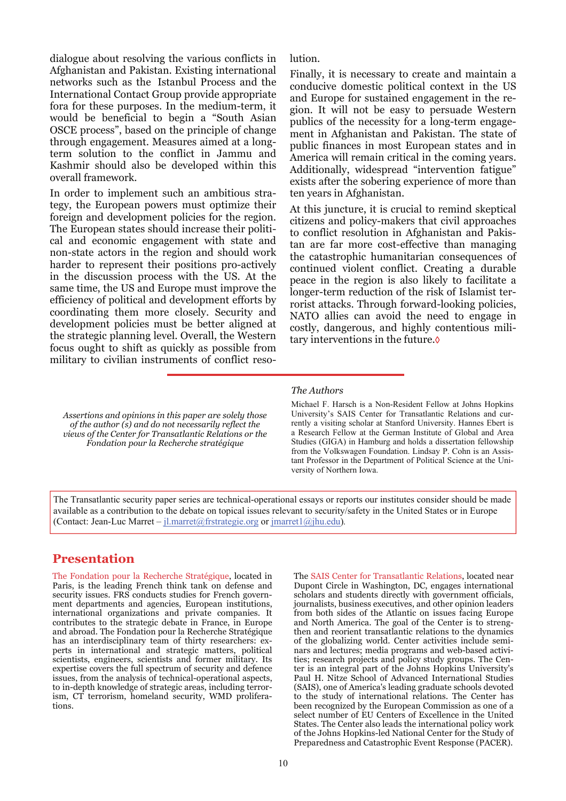dialogue about resolving the various conflicts in Afghanistan and Pakistan. Existing international networks such as the Istanbul Process and the International Contact Group provide appropriate fora for these purposes. In the medium-term, it would be beneficial to begin a "South Asian OSCE process", based on the principle of change through engagement. Measures aimed at a longterm solution to the conflict in Jammu and Kashmir should also be developed within this overall framework.

In order to implement such an ambitious strategy, the European powers must optimize their foreign and development policies for the region. The European states should increase their political and economic engagement with state and non-state actors in the region and should work harder to represent their positions pro-actively in the discussion process with the US. At the same time, the US and Europe must improve the efficiency of political and development efforts by coordinating them more closely. Security and development policies must be better aligned at the strategic planning level. Overall, the Western focus ought to shift as quickly as possible from military to civilian instruments of conflict resolution.

Finally, it is necessary to create and maintain a conducive domestic political context in the US and Europe for sustained engagement in the region. It will not be easy to persuade Western publics of the necessity for a long-term engagement in Afghanistan and Pakistan. The state of public finances in most European states and in America will remain critical in the coming years. Additionally, widespread "intervention fatigue" exists after the sobering experience of more than ten years in Afghanistan.

At this juncture, it is crucial to remind skeptical citizens and policy-makers that civil approaches to conflict resolution in Afghanistan and Pakistan are far more cost-effective than managing the catastrophic humanitarian consequences of continued violent conflict. Creating a durable peace in the region is also likely to facilitate a longer-term reduction of the risk of Islamist terrorist attacks. Through forward-looking policies, NATO allies can avoid the need to engage in costly, dangerous, and highly contentious military interventions in the future.◊

*Assertions and opinions in this paper are solely those of the author (s) and do not necessarily reflect the views of the Center for Transatlantic Relations or the Fondation pour la Recherche stratégique*

#### *The Authors*

Michael F. Harsch is a Non-Resident Fellow at Johns Hopkins University's SAIS Center for Transatlantic Relations and currently a visiting scholar at Stanford University. Hannes Ebert is a Research Fellow at the German Institute of Global and Area Studies (GIGA) in Hamburg and holds a dissertation fellowship from the Volkswagen Foundation. Lindsay P. Cohn is an Assistant Professor in the Department of Political Science at the University of Northern Iowa.

The Transatlantic security paper series are technical-operational essays or reports our institutes consider should be made available as a contribution to the debate on topical issues relevant to security/safety in the United States or in Europe (Contact: Jean-Luc Marret – [jl.marret@frstrategie.org](mailto:jl.marret@frstrategie.org) or [jmarret1@jhu.edu\)](mailto:jmarret1@jhu.edu)*.*

#### **Presentation**

The Fondation pour la Recherche Stratégique, located in Paris, is the leading French think tank on defense and security issues. FRS conducts studies for French government departments and agencies, European institutions, international organizations and private companies. It contributes to the strategic debate in France, in Europe and abroad. The Fondation pour la Recherche Stratégique has an interdisciplinary team of thirty researchers: experts in international and strategic matters, political scientists, engineers, scientists and former military. Its expertise covers the full spectrum of security and defence issues, from the analysis of technical-operational aspects, to in-depth knowledge of strategic areas, including terrorism, CT terrorism, homeland security, WMD proliferations.

The SAIS Center for Transatlantic Relations, located near Dupont Circle in Washington, DC, engages international scholars and students directly with government officials, journalists, business executives, and other opinion leaders from both sides of the Atlantic on issues facing Europe and North America. The goal of the Center is to strengthen and reorient transatlantic relations to the dynamics of the globalizing world. Center activities include seminars and lectures; media programs and web-based activities; research projects and policy study groups. The Center is an integral part of the [Johns Hopkins University's](http://www.jhu.edu/)  [Paul H. Nitze School of Advanced International Studies](http://www.sais-jhu.edu/)  [\(SAIS\),](http://www.sais-jhu.edu/) one of America's leading graduate schools devoted to the study of international relations. The Center has been recognized by the European Commission as one of a select number of [EU Centers of Excellence in the United](http://www.unc.edu/euce/)  [States](http://www.unc.edu/euce/). The Center also leads the international policy work of the Johns Hopkins-led [National Center for the Study of](http://transatlantic.sais-jhu.edu/partnerships/pacer.htm)  [Preparedness and Catastrophic Event Response \(PACER\).](http://transatlantic.sais-jhu.edu/partnerships/pacer.htm)